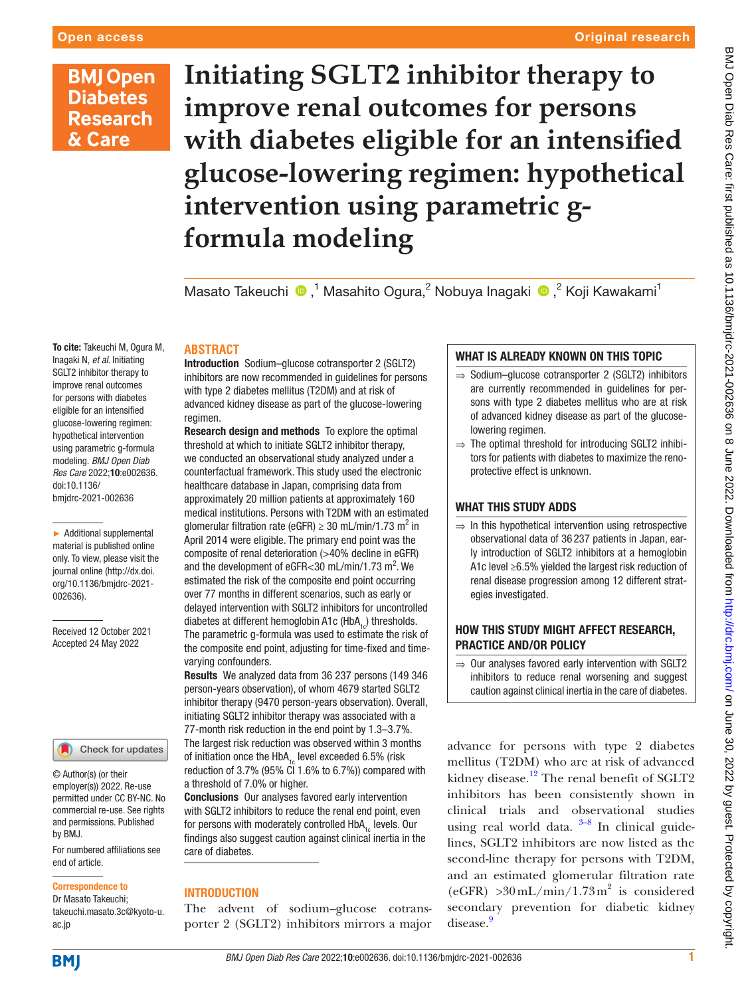To cite: Takeuchi M, Ogura M, Inagaki N, *et al*. Initiating SGLT2 inhibitor therapy to improve renal outcomes for persons with diabetes eligible for an intensified glucose-lowering regimen: hypothetical intervention using parametric g-formula modeling. *BMJ Open Diab Res Care* 2022;10:e002636.

doi:10.1136/ bmjdrc-2021-002636

[002636](http://dx.doi.org/10.1136/bmjdrc-2021-002636)).

► Additional supplemental material is published online only. To view, please visit the journal online ([http://dx.doi.](http://dx.doi.org/10.1136/bmjdrc-2021-002636) [org/10.1136/bmjdrc-2021-](http://dx.doi.org/10.1136/bmjdrc-2021-002636)

Received 12 October 2021 Accepted 24 May 2022

# **BMJ Open Diabetes Research** & Care

# **Initiating SGLT2 inhibitor therapy to improve renal outcomes for persons with diabetes eligible for an intensified glucose-lowering regimen: hypothetical intervention using parametric gformula modeling**

Masato Takeuchi <sup>®</sup>,<sup>1</sup> Masahito Ogura,<sup>2</sup> Nobuya Inagaki <sup>®</sup>,<sup>2</sup> Koji Kawakami<sup>1</sup>

## **ABSTRACT**

Introduction Sodium–glucose cotransporter 2 (SGLT2) inhibitors are now recommended in guidelines for persons with type 2 diabetes mellitus (T2DM) and at risk of advanced kidney disease as part of the glucose-lowering regimen.

Research design and methods To explore the optimal threshold at which to initiate SGLT2 inhibitor therapy, we conducted an observational study analyzed under a counterfactual framework. This study used the electronic healthcare database in Japan, comprising data from approximately 20 million patients at approximately 160 medical institutions. Persons with T2DM with an estimated glomerular filtration rate (eGFR)  $\geq 30$  mL/min/1.73 m<sup>2</sup> in April 2014 were eligible. The primary end point was the composite of renal deterioration (>40% decline in eGFR) and the development of eGFR<30 mL/min/1.73  $m^2$ . We estimated the risk of the composite end point occurring over 77 months in different scenarios, such as early or delayed intervention with SGLT2 inhibitors for uncontrolled diabetes at different hemoglobin A1c (HbA<sub>1c</sub>) thresholds. The parametric g-formula was used to estimate the risk of the composite end point, adjusting for time-fixed and timevarying confounders.

Results We analyzed data from 36 237 persons (149 346 person-years observation), of whom 4679 started SGLT2 inhibitor therapy (9470 person-years observation). Overall, initiating SGLT2 inhibitor therapy was associated with a 77-month risk reduction in the end point by 1.3–3.7%. The largest risk reduction was observed within 3 months of initiation once the HbA<sub>1c</sub> level exceeded 6.5% (risk reduction of 3.7% (95% CI 1.6% to 6.7%)) compared with a threshold of 7.0% or higher.

Conclusions Our analyses favored early intervention with SGLT2 inhibitors to reduce the renal end point, even for persons with moderately controlled HbA<sub>1c</sub> levels. Our findings also suggest caution against clinical inertia in the care of diabetes.

## INTRODUCTION

The advent of sodium–glucose cotransporter 2 (SGLT2) inhibitors mirrors a major

# WHAT IS ALREADY KNOWN ON THIS TOPIC

- ⇒ Sodium–glucose cotransporter 2 (SGLT2) inhibitors are currently recommended in guidelines for persons with type 2 diabetes mellitus who are at risk of advanced kidney disease as part of the glucoselowering regimen.
- ⇒ The optimal threshold for introducing SGLT2 inhibitors for patients with diabetes to maximize the renoprotective effect is unknown.

# WHAT THIS STUDY ADDS

 $\Rightarrow$  In this hypothetical intervention using retrospective observational data of 36 237 patients in Japan, early introduction of SGLT2 inhibitors at a hemoglobin A1c level ≥6.5% yielded the largest risk reduction of renal disease progression among 12 different strategies investigated.

# HOW THIS STUDY MIGHT AFFECT RESEARCH, PRACTICE AND/OR POLICY

 $\Rightarrow$  Our analyses favored early intervention with SGLT2 inhibitors to reduce renal worsening and suggest caution against clinical inertia in the care of diabetes.

advance for persons with type 2 diabetes mellitus (T2DM) who are at risk of advanced kidney disease.<sup>[1](#page-6-0)[2](#page-6-1)</sup> The renal benefit of SGLT2 inhibitors has been consistently shown in clinical trials and observational studies using real world data.  $3-8$  In clinical guidelines, SGLT2 inhibitors are now listed as the second-line therapy for persons with T2DM, and an estimated glomerular filtration rate  $(eGFR) > 30$  mL/min/1.73 m<sup>2</sup> is considered secondary prevention for diabetic kidney disease.[9](#page-6-3)

# **BMJ**

ac.jp

For numbered affiliations see

Check for updates

end of article.

by BMJ.

Correspondence to Dr Masato Takeuchi; takeuchi.masato.3c@kyoto-u.

© Author(s) (or their employer(s)) 2022. Re-use permitted under CC BY-NC. No commercial re-use. See rights and permissions. Published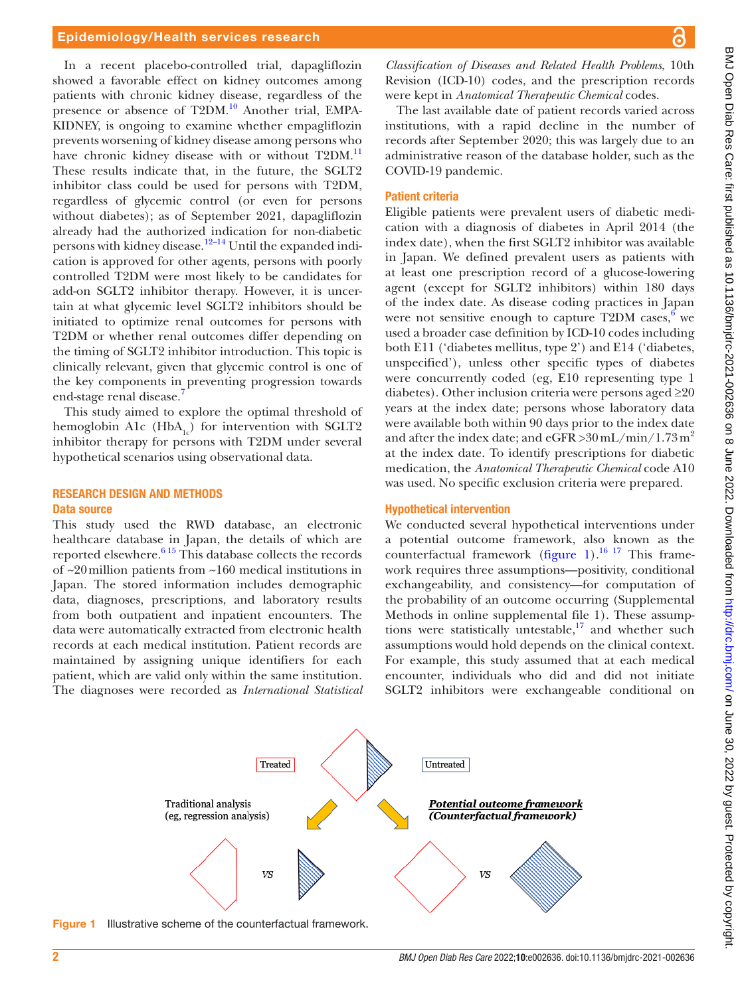In a recent placebo-controlled trial, dapagliflozin showed a favorable effect on kidney outcomes among patients with chronic kidney disease, regardless of the presence or absence of T2DM.<sup>10</sup> Another trial, EMPA-KIDNEY, is ongoing to examine whether empagliflozin prevents worsening of kidney disease among persons who have chronic kidney disease with or without T2DM.<sup>11</sup> These results indicate that, in the future, the SGLT2 inhibitor class could be used for persons with T2DM, regardless of glycemic control (or even for persons without diabetes); as of September 2021, dapagliflozin already had the authorized indication for non-diabetic persons with kidney disease.<sup>12–14</sup> Until the expanded indication is approved for other agents, persons with poorly controlled T2DM were most likely to be candidates for add-on SGLT2 inhibitor therapy. However, it is uncertain at what glycemic level SGLT2 inhibitors should be initiated to optimize renal outcomes for persons with T2DM or whether renal outcomes differ depending on the timing of SGLT2 inhibitor introduction. This topic is clinically relevant, given that glycemic control is one of the key components in preventing progression towards end-stage renal disease.

This study aimed to explore the optimal threshold of hemoglobin A1c (HbA<sub>1c</sub>) for intervention with SGLT2 inhibitor therapy for persons with T2DM under several hypothetical scenarios using observational data.

### RESEARCH DESIGN AND METHODS Data source

This study used the RWD database, an electronic healthcare database in Japan, the details of which are reported elsewhere.<sup>6 15</sup> This database collects the records of ~20million patients from ~160 medical institutions in Japan. The stored information includes demographic data, diagnoses, prescriptions, and laboratory results from both outpatient and inpatient encounters. The data were automatically extracted from electronic health records at each medical institution. Patient records are maintained by assigning unique identifiers for each patient, which are valid only within the same institution. The diagnoses were recorded as *International Statistical* 

*Classification of Diseases and Related Health Problems*, 10th Revision (ICD-10) codes, and the prescription records were kept in *Anatomical Therapeutic Chemical* codes.

The last available date of patient records varied across institutions, with a rapid decline in the number of records after September 2020; this was largely due to an administrative reason of the database holder, such as the COVID-19 pandemic.

#### Patient criteria

Eligible patients were prevalent users of diabetic medication with a diagnosis of diabetes in April 2014 (the index date), when the first SGLT2 inhibitor was available in Japan. We defined prevalent users as patients with at least one prescription record of a glucose-lowering agent (except for SGLT2 inhibitors) within 180 days of the index date. As disease coding practices in Japan were not sensitive enough to capture  $T2DM$  cases,  $6$  we used a broader case definition by ICD-10 codes including both E11 ('diabetes mellitus, type 2') and E14 ('diabetes, unspecified'), unless other specific types of diabetes were concurrently coded (eg, E10 representing type 1 diabetes). Other inclusion criteria were persons aged  $\geq 20$ years at the index date; persons whose laboratory data were available both within 90 days prior to the index date and after the index date; and  $e$ GFR > 30 mL/min/1.73 m<sup>2</sup> at the index date. To identify prescriptions for diabetic medication, the *Anatomical Therapeutic Chemical* code A10 was used. No specific exclusion criteria were prepared.

### Hypothetical intervention

Untreated

We conducted several hypothetical interventions under a potential outcome framework, also known as the counterfactual framework [\(figure](#page-1-0) 1).<sup>16 17</sup> This framework requires three assumptions—positivity, conditional exchangeability, and consistency—for computation of the probability of an outcome occurring [\(Supplemental](https://dx.doi.org/10.1136/bmjdrc-2021-002636) [Methods in online supplemental file 1](https://dx.doi.org/10.1136/bmjdrc-2021-002636)). These assumptions were statistically untestable, $\frac{17}{17}$  $\frac{17}{17}$  $\frac{17}{17}$  and whether such assumptions would hold depends on the clinical context. For example, this study assumed that at each medical encounter, individuals who did and did not initiate SGLT2 inhibitors were exchangeable conditional on

**Figure 1** Illustrative scheme of the counterfactual framework.

Traditional analysis

(eg, regression analysis)

Treated

<span id="page-1-0"></span>VS<sub></sub>

Potential outcome framework

(Counterfactual framework)

VS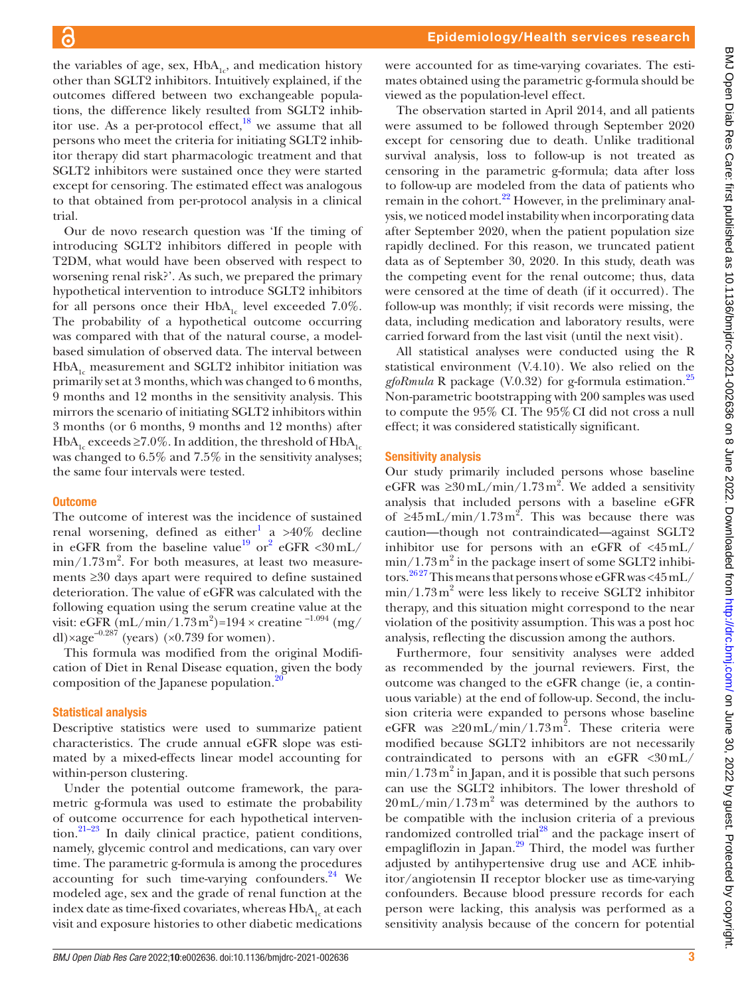the variables of age, sex,  $HbA_{1c}$ , and medication history other than SGLT2 inhibitors. Intuitively explained, if the outcomes differed between two exchangeable populations, the difference likely resulted from SGLT2 inhibitor use. As a per-protocol effect, $^{18}$  we assume that all persons who meet the criteria for initiating SGLT2 inhibitor therapy did start pharmacologic treatment and that SGLT2 inhibitors were sustained once they were started except for censoring. The estimated effect was analogous to that obtained from per-protocol analysis in a clinical trial.

Our de novo research question was 'If the timing of introducing SGLT2 inhibitors differed in people with T2DM, what would have been observed with respect to worsening renal risk?'. As such, we prepared the primary hypothetical intervention to introduce SGLT2 inhibitors for all persons once their  $HbA_{1c}$  level exceeded 7.0%. The probability of a hypothetical outcome occurring was compared with that of the natural course, a modelbased simulation of observed data. The interval between  $HbA<sub>1c</sub>$  measurement and SGLT2 inhibitor initiation was primarily set at 3 months, which was changed to 6 months, 9 months and 12 months in the sensitivity analysis. This mirrors the scenario of initiating SGLT2 inhibitors within 3 months (or 6 months, 9 months and 12 months) after HbA<sub>1c</sub> exceeds ≥7.0%. In addition, the threshold of HbA<sub>1c</sub> was changed to 6.5% and 7.5% in the sensitivity analyses; the same four intervals were tested.

## **Outcome**

The outcome of interest was the incidence of sustained renal worsening, defined as either<sup>[1](#page-6-0)</sup> a >40% decline in eGFR from the baseline value<sup>19</sup> or<sup>[2](#page-6-1)</sup> eGFR <30 mL/  $\min/1.73 \,\mathrm{m}^2$ . For both measures, at least two measurements ≥30 days apart were required to define sustained deterioration. The value of eGFR was calculated with the following equation using the serum creatine value at the visit: eGFR (mL/min/1.73 m<sup>2</sup>)=194 × creatine <sup>-1.094</sup> (mg/ dl)×age<sup>-0.287</sup> (years) (×0.739 for women).

This formula was modified from the original Modification of Diet in Renal Disease equation, given the body composition of the Japanese population.<sup>2</sup>

## Statistical analysis

Descriptive statistics were used to summarize patient characteristics. The crude annual eGFR slope was estimated by a mixed-effects linear model accounting for within-person clustering.

Under the potential outcome framework, the parametric g-formula was used to estimate the probability of outcome occurrence for each hypothetical intervention.<sup>21-23</sup> In daily clinical practice, patient conditions, namely, glycemic control and medications, can vary over time. The parametric g-formula is among the procedures accounting for such time-varying confounders. $24$  We modeled age, sex and the grade of renal function at the index date as time-fixed covariates, whereas HbA<sub>1</sub> at each visit and exposure histories to other diabetic medications

were accounted for as time-varying covariates. The estimates obtained using the parametric g-formula should be viewed as the population-level effect.

The observation started in April 2014, and all patients were assumed to be followed through September 2020 except for censoring due to death. Unlike traditional survival analysis, loss to follow-up is not treated as censoring in the parametric g-formula; data after loss to follow-up are modeled from the data of patients who remain in the cohort.<sup>22</sup> However, in the preliminary analysis, we noticed model instability when incorporating data after September 2020, when the patient population size rapidly declined. For this reason, we truncated patient data as of September 30, 2020. In this study, death was the competing event for the renal outcome; thus, data were censored at the time of death (if it occurred). The follow-up was monthly; if visit records were missing, the data, including medication and laboratory results, were carried forward from the last visit (until the next visit).

All statistical analyses were conducted using the R statistical environment (V.4.10). We also relied on the *gfoRmula* R package (V.0.32) for g-formula estimation[.25](#page-7-11) Non-parametric bootstrapping with 200 samples was used to compute the 95% CI. The 95%CI did not cross a null effect; it was considered statistically significant.

## Sensitivity analysis

Our study primarily included persons whose baseline eGFR was  $\geq 30 \text{ mL/min} / 1.73 \text{ m}^2$ . We added a sensitivity analysis that included persons with a baseline eGFR of  $\geq 45$  mL/min/1.73 m<sup>2</sup>. This was because there was caution—though not contraindicated—against SGLT2 inhibitor use for persons with an eGFR of  $\langle 45 \text{ mL} / \rangle$  $min/1.73 m<sup>2</sup>$  in the package insert of some SGLT2 inhibitors.[26 27](#page-7-12) This means that persons whose eGFR was <45mL/  $min/1.73 m<sup>2</sup>$  were less likely to receive SGLT2 inhibitor therapy, and this situation might correspond to the near violation of the positivity assumption. This was a post hoc analysis, reflecting the discussion among the authors.

Furthermore, four sensitivity analyses were added as recommended by the journal reviewers. First, the outcome was changed to the eGFR change (ie, a continuous variable) at the end of follow-up. Second, the inclusion criteria were expanded to persons whose baseline eGFR was  $\geq 20 \text{ mL/min} / 1.73 \text{ m}^2$ . These criteria were modified because SGLT2 inhibitors are not necessarily contraindicated to persons with an eGFR <30mL/  $\min/1.73 \,\mathrm{m}^2$  in Japan, and it is possible that such persons can use the SGLT2 inhibitors. The lower threshold of  $20 \,\mathrm{mL/min}/1.73 \,\mathrm{m}^2$  was determined by the authors to be compatible with the inclusion criteria of a previous randomized controlled trial $^{28}$  $^{28}$  $^{28}$  and the package insert of empagliflozin in Japan.<sup>29</sup> Third, the model was further adjusted by antihypertensive drug use and ACE inhibitor/angiotensin II receptor blocker use as time-varying confounders. Because blood pressure records for each person were lacking, this analysis was performed as a sensitivity analysis because of the concern for potential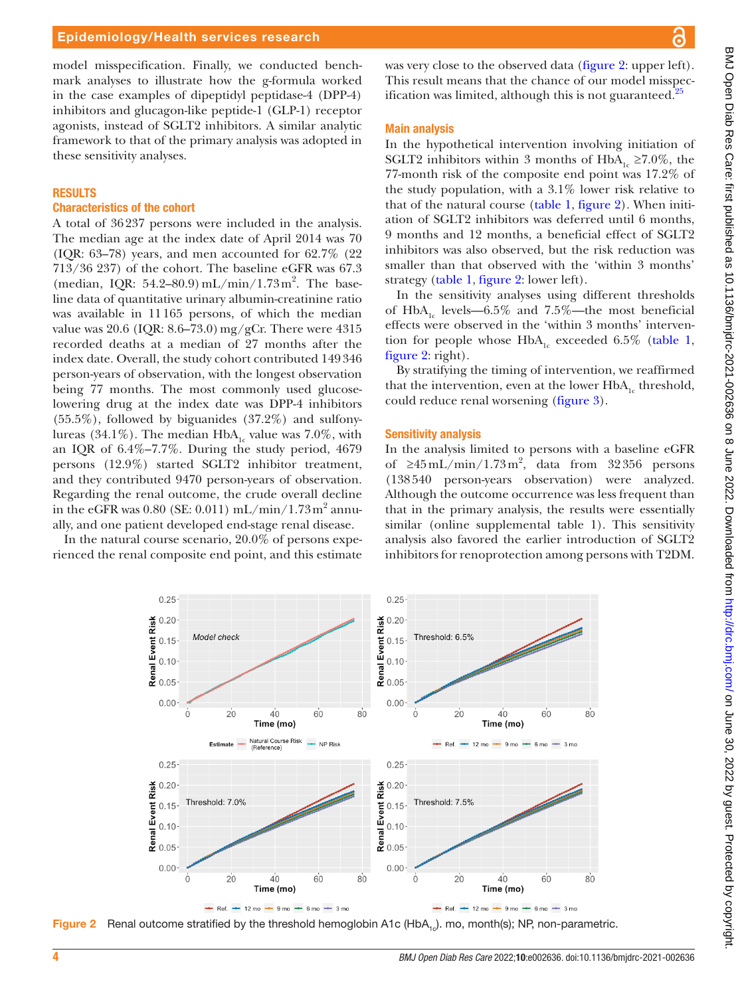model misspecification. Finally, we conducted benchmark analyses to illustrate how the g-formula worked in the case examples of dipeptidyl peptidase-4 (DPP-4) inhibitors and glucagon-like peptide-1 (GLP-1) receptor agonists, instead of SGLT2 inhibitors. A similar analytic framework to that of the primary analysis was adopted in these sensitivity analyses.

## RESULTS

#### Characteristics of the cohort

A total of 36237 persons were included in the analysis. The median age at the index date of April 2014 was 70 (IQR: 63–78) years, and men accounted for 62.7% (22 713/36 237) of the cohort. The baseline eGFR was 67.3 (median, IQR: 54.2-80.9) mL/min/1.73 m<sup>2</sup>. The baseline data of quantitative urinary albumin-creatinine ratio was available in 11165 persons, of which the median value was 20.6 (IQR: 8.6–73.0) mg/gCr. There were 4315 recorded deaths at a median of 27 months after the index date. Overall, the study cohort contributed 149346 person-years of observation, with the longest observation being 77 months. The most commonly used glucoselowering drug at the index date was DPP-4 inhibitors  $(55.5\%)$ , followed by biguanides  $(37.2\%)$  and sulfonylureas (34.1%). The median  $HbA<sub>1c</sub>$  value was 7.0%, with an IQR of 6.4%–7.7%. During the study period, 4679 persons (12.9%) started SGLT2 inhibitor treatment, and they contributed 9470 person-years of observation. Regarding the renal outcome, the crude overall decline in the eGFR was  $0.80$  (SE:  $0.011$ ) mL/min/1.73m<sup>2</sup> annually, and one patient developed end-stage renal disease.

In the natural course scenario, 20.0% of persons experienced the renal composite end point, and this estimate

<span id="page-3-0"></span>0.25

was very close to the observed data [\(figure](#page-3-0) 2: upper left). This result means that the chance of our model misspec-ification was limited, although this is not guaranteed.<sup>[25](#page-7-11)</sup>

#### Main analysis

In the hypothetical intervention involving initiation of SGLT2 inhibitors within 3 months of  $HbA_{1c} \ge 7.0\%$ , the 77-month risk of the composite end point was 17.2% of the study population, with a 3.1% lower risk relative to that of the natural course ([table](#page-4-0) 1, [figure](#page-3-0) 2). When initiation of SGLT2 inhibitors was deferred until 6 months, 9 months and 12 months, a beneficial effect of SGLT2 inhibitors was also observed, but the risk reduction was smaller than that observed with the 'within 3 months' strategy [\(table](#page-4-0) 1, [figure](#page-3-0) 2: lower left).

In the sensitivity analyses using different thresholds of HbA<sub>1c</sub> levels—6.5% and 7.5%—the most beneficial effects were observed in the 'within 3 months' intervention for people whose  $HbA_{1c}$  exceeded 6.5% ([table](#page-4-0) 1, [figure](#page-3-0) 2: right).

By stratifying the timing of intervention, we reaffirmed that the intervention, even at the lower  $HbA_{1c}$  threshold, could reduce renal worsening ([figure](#page-4-1) 3).

#### Sensitivity analysis

In the analysis limited to persons with a baseline eGFR of  $\geq 45$  mL/min/1.73 m<sup>2</sup>, data from 32356 persons (138540 person-years observation) were analyzed. Although the outcome occurrence was less frequent than that in the primary analysis, the results were essentially similar ([online supplemental table 1](https://dx.doi.org/10.1136/bmjdrc-2021-002636)). This sensitivity analysis also favored the earlier introduction of SGLT2 inhibitors for renoprotection among persons with T2DM.



 $0.25$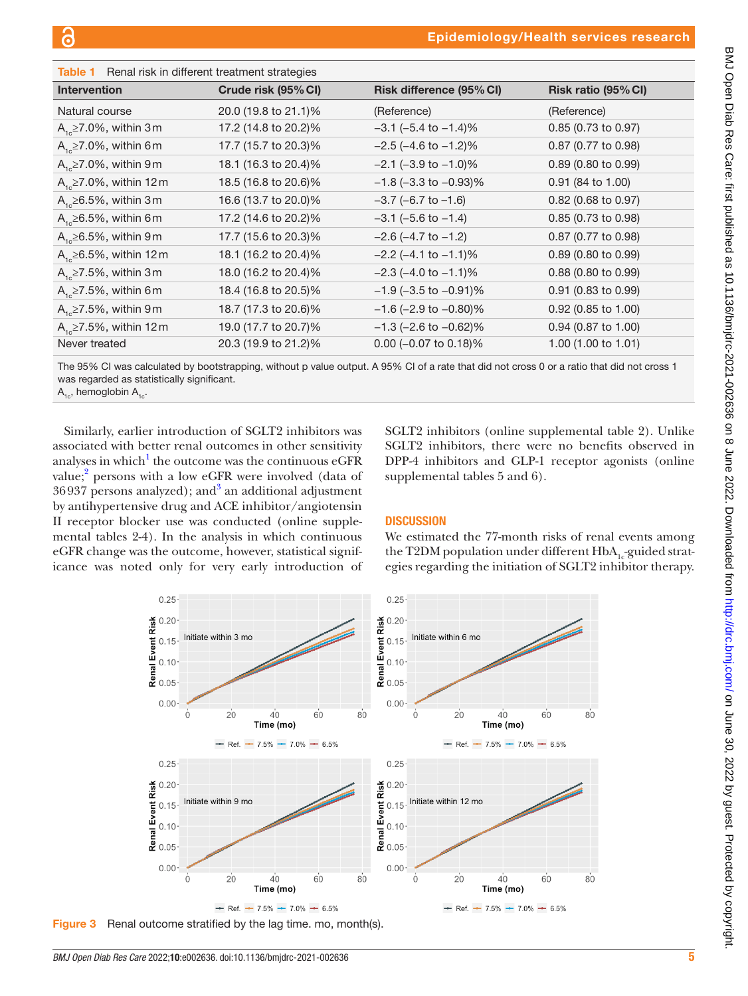<span id="page-4-0"></span>

| Table 1<br>Renal risk in different treatment strategies |                      |                              |                     |
|---------------------------------------------------------|----------------------|------------------------------|---------------------|
| <b>Intervention</b>                                     | Crude risk (95% CI)  | Risk difference (95% CI)     | Risk ratio (95% CI) |
| Natural course                                          | 20.0 (19.8 to 21.1)% | (Reference)                  | (Reference)         |
| $A_{1c} \ge 7.0\%$ , within 3 m                         | 17.2 (14.8 to 20.2)% | $-3.1$ (-5.4 to $-1.4$ )%    | 0.85 (0.73 to 0.97) |
| $A_{1c} \ge 7.0\%$ , within 6 m                         | 17.7 (15.7 to 20.3)% | $-2.5$ ( $-4.6$ to $-1.2$ )% | 0.87 (0.77 to 0.98) |
| $A_{1c} \ge 7.0\%$ , within 9 m                         | 18.1 (16.3 to 20.4)% | $-2.1$ ( $-3.9$ to $-1.0$ )% | 0.89 (0.80 to 0.99) |
| $A_{1c} \ge 7.0\%$ , within 12 m                        | 18.5 (16.8 to 20.6)% | $-1.8$ (-3.3 to $-0.93$ )%   | 0.91 (84 to 1.00)   |
| $A_{1c} \ge 6.5\%$ , within 3 m                         | 16.6 (13.7 to 20.0)% | $-3.7$ (-6.7 to $-1.6$ )     | 0.82 (0.68 to 0.97) |
| $A_{1c} \ge 6.5\%$ , within 6 m                         | 17.2 (14.6 to 20.2)% | $-3.1$ ( $-5.6$ to $-1.4$ )  | 0.85 (0.73 to 0.98) |
| $A_{1c} \ge 6.5\%$ , within 9 m                         | 17.7 (15.6 to 20.3)% | $-2.6$ ( $-4.7$ to $-1.2$ )  | 0.87 (0.77 to 0.98) |
| $A_{1c} \ge 6.5\%$ , within 12 m                        | 18.1 (16.2 to 20.4)% | $-2.2$ ( $-4.1$ to $-1.1$ )% | 0.89 (0.80 to 0.99) |
| $A_{1c} \ge 7.5\%$ , within 3 m                         | 18.0 (16.2 to 20.4)% | $-2.3$ ( $-4.0$ to $-1.1$ )% | 0.88 (0.80 to 0.99) |
| $A_{1c} \ge 7.5\%$ , within 6 m                         | 18.4 (16.8 to 20.5)% | $-1.9$ (-3.5 to $-0.91$ )%   | 0.91 (0.83 to 0.99) |
| $A_{1c} \ge 7.5\%$ , within 9 m                         | 18.7 (17.3 to 20.6)% | $-1.6$ (-2.9 to $-0.80$ )%   | 0.92 (0.85 to 1.00) |
| $A_{1c} \ge 7.5\%$ , within 12 m                        | 19.0 (17.7 to 20.7)% | $-1.3$ (-2.6 to $-0.62$ )%   | 0.94 (0.87 to 1.00) |
| Never treated                                           | 20.3 (19.9 to 21.2)% | 0.00 (-0.07 to 0.18)%        | 1.00 (1.00 to 1.01) |

The 95% CI was calculated by bootstrapping, without p value output. A 95% CI of a rate that did not cross 0 or a ratio that did not cross 1 was regarded as statistically significant.

 $A_{1c}$ , hemoglobin  $A_{1c}$ .

Similarly, earlier introduction of SGLT2 inhibitors was associated with better renal outcomes in other sensitivity analyses in which $^{\rm l}$  the outcome was the continuous eGFR value;<sup>2</sup> persons with a low eGFR were involved (data of  $36937$  $36937$  persons analyzed); and<sup>3</sup> an additional adjustment by antihypertensive drug and ACE inhibitor/angiotensin II receptor blocker use was conducted ([online supple](https://dx.doi.org/10.1136/bmjdrc-2021-002636)[mental tables 2-4](https://dx.doi.org/10.1136/bmjdrc-2021-002636)). In the analysis in which continuous eGFR change was the outcome, however, statistical significance was noted only for very early introduction of

SGLT2 inhibitors ([online supplemental table 2](https://dx.doi.org/10.1136/bmjdrc-2021-002636)). Unlike SGLT2 inhibitors, there were no benefits observed in DPP-4 inhibitors and GLP-1 receptor agonists [\(online](https://dx.doi.org/10.1136/bmjdrc-2021-002636) [supplemental tables 5 and 6](https://dx.doi.org/10.1136/bmjdrc-2021-002636)).

# **DISCUSSION**

We estimated the 77-month risks of renal events among the T2DM population under different  $HbA_1$ -guided strategies regarding the initiation of SGLT2 inhibitor therapy.



<span id="page-4-1"></span>Figure 3 Renal outcome stratified by the lag time. mo, month(s).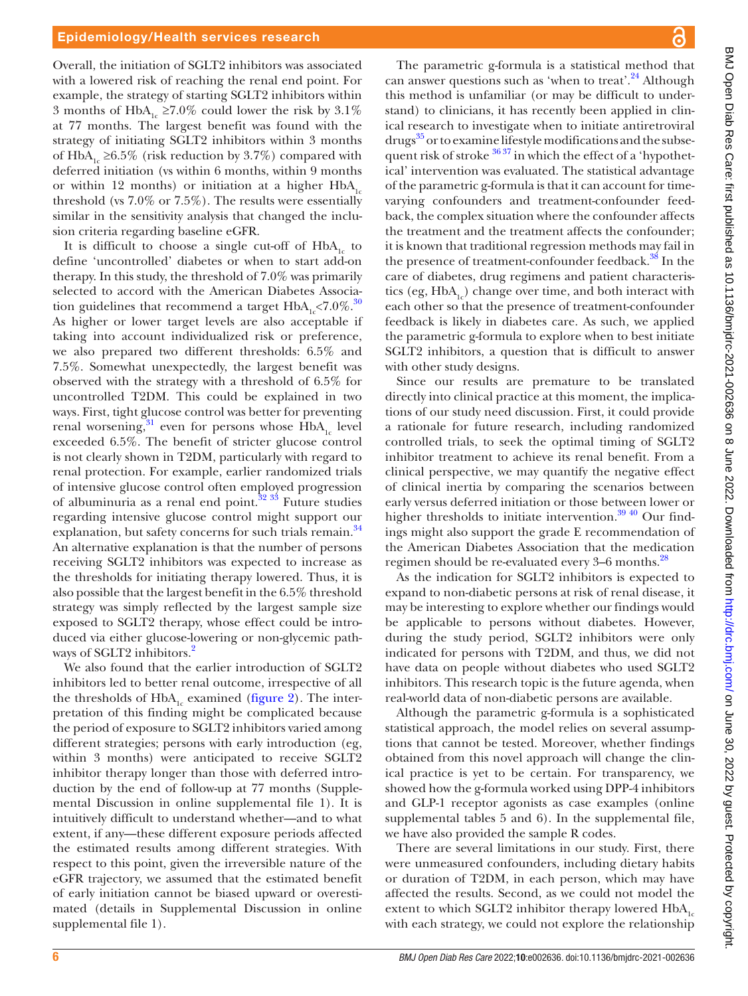Overall, the initiation of SGLT2 inhibitors was associated with a lowered risk of reaching the renal end point. For example, the strategy of starting SGLT2 inhibitors within 3 months of HbA<sub>1c</sub> ≥7.0% could lower the risk by 3.1% at 77 months. The largest benefit was found with the strategy of initiating SGLT2 inhibitors within 3 months of HbA<sub>1c</sub> ≥6.5% (risk reduction by 3.7%) compared with deferred initiation (vs within 6 months, within 9 months or within 12 months) or initiation at a higher  $HbA_{1c}$ threshold (vs 7.0% or 7.5%). The results were essentially similar in the sensitivity analysis that changed the inclusion criteria regarding baseline eGFR.

It is difficult to choose a single cut-off of  $HbA<sub>1c</sub>$  to define 'uncontrolled' diabetes or when to start add-on therapy. In this study, the threshold of 7.0% was primarily selected to accord with the American Diabetes Association guidelines that recommend a target  $HbA<sub>1</sub> < 7.0\%$ .<sup>30</sup> As higher or lower target levels are also acceptable if taking into account individualized risk or preference, we also prepared two different thresholds: 6.5% and 7.5%. Somewhat unexpectedly, the largest benefit was observed with the strategy with a threshold of 6.5% for uncontrolled T2DM. This could be explained in two ways. First, tight glucose control was better for preventing renal worsening,  $31$  even for persons whose HbA<sub>1c</sub> level exceeded 6.5%. The benefit of stricter glucose control is not clearly shown in T2DM, particularly with regard to renal protection. For example, earlier randomized trials of intensive glucose control often employed progression of albuminuria as a renal end point. $32 \frac{33}{12}$  Future studies regarding intensive glucose control might support our explanation, but safety concerns for such trials remain.<sup>34</sup> An alternative explanation is that the number of persons receiving SGLT2 inhibitors was expected to increase as the thresholds for initiating therapy lowered. Thus, it is also possible that the largest benefit in the 6.5% threshold strategy was simply reflected by the largest sample size exposed to SGLT2 therapy, whose effect could be introduced via either glucose-lowering or non-glycemic path-ways of SGLT[2](#page-6-1) inhibitors.<sup>2</sup>

We also found that the earlier introduction of SGLT2 inhibitors led to better renal outcome, irrespective of all the thresholds of  $HbA_1$ <sub>c</sub> examined [\(figure](#page-3-0) 2). The interpretation of this finding might be complicated because the period of exposure to SGLT2 inhibitors varied among different strategies; persons with early introduction (eg, within 3 months) were anticipated to receive SGLT2 inhibitor therapy longer than those with deferred introduction by the end of follow-up at 77 months ([Supple](https://dx.doi.org/10.1136/bmjdrc-2021-002636)[mental Discussion in online supplemental file 1](https://dx.doi.org/10.1136/bmjdrc-2021-002636)). It is intuitively difficult to understand whether—and to what extent, if any—these different exposure periods affected the estimated results among different strategies. With respect to this point, given the irreversible nature of the eGFR trajectory, we assumed that the estimated benefit of early initiation cannot be biased upward or overestimated (details in [Supplemental Discussion in online](https://dx.doi.org/10.1136/bmjdrc-2021-002636) [supplemental file 1](https://dx.doi.org/10.1136/bmjdrc-2021-002636)).

The parametric g-formula is a statistical method that can answer questions such as 'when to treat'. $^{24}$  $^{24}$  $^{24}$  Although this method is unfamiliar (or may be difficult to understand) to clinicians, it has recently been applied in clinical research to investigate when to initiate antiretroviral drugs<sup>[35](#page-7-19)</sup> or to examine lifestyle modifications and the subsequent risk of stroke  $3637$  in which the effect of a 'hypothetical' intervention was evaluated. The statistical advantage of the parametric g-formula is that it can account for timevarying confounders and treatment-confounder feedback, the complex situation where the confounder affects the treatment and the treatment affects the confounder; it is known that traditional regression methods may fail in the presence of treatment-confounder feedback.<sup>38</sup> In the care of diabetes, drug regimens and patient characteristics (eg,  $HbA_1$ ) change over time, and both interact with each other so that the presence of treatment-confounder feedback is likely in diabetes care. As such, we applied the parametric g-formula to explore when to best initiate SGLT2 inhibitors, a question that is difficult to answer with other study designs.

Since our results are premature to be translated directly into clinical practice at this moment, the implications of our study need discussion. First, it could provide a rationale for future research, including randomized controlled trials, to seek the optimal timing of SGLT2 inhibitor treatment to achieve its renal benefit. From a clinical perspective, we may quantify the negative effect of clinical inertia by comparing the scenarios between early versus deferred initiation or those between lower or higher thresholds to initiate intervention.<sup>39 40</sup> Our findings might also support the grade E recommendation of the American Diabetes Association that the medication regimen should be re-evaluated every 3–6 months.[28](#page-7-13)

As the indication for SGLT2 inhibitors is expected to expand to non-diabetic persons at risk of renal disease, it may be interesting to explore whether our findings would be applicable to persons without diabetes. However, during the study period, SGLT2 inhibitors were only indicated for persons with T2DM, and thus, we did not have data on people without diabetes who used SGLT2 inhibitors. This research topic is the future agenda, when real-world data of non-diabetic persons are available.

Although the parametric g-formula is a sophisticated statistical approach, the model relies on several assumptions that cannot be tested. Moreover, whether findings obtained from this novel approach will change the clinical practice is yet to be certain. For transparency, we showed how the g-formula worked using DPP-4 inhibitors and GLP-1 receptor agonists as case examples [\(online](https://dx.doi.org/10.1136/bmjdrc-2021-002636) [supplemental tables 5 and 6](https://dx.doi.org/10.1136/bmjdrc-2021-002636)). In the supplemental file, we have also provided the sample R codes.

There are several limitations in our study. First, there were unmeasured confounders, including dietary habits or duration of T2DM, in each person, which may have affected the results. Second, as we could not model the extent to which SGLT2 inhibitor therapy lowered  $HbA_{1c}$ with each strategy, we could not explore the relationship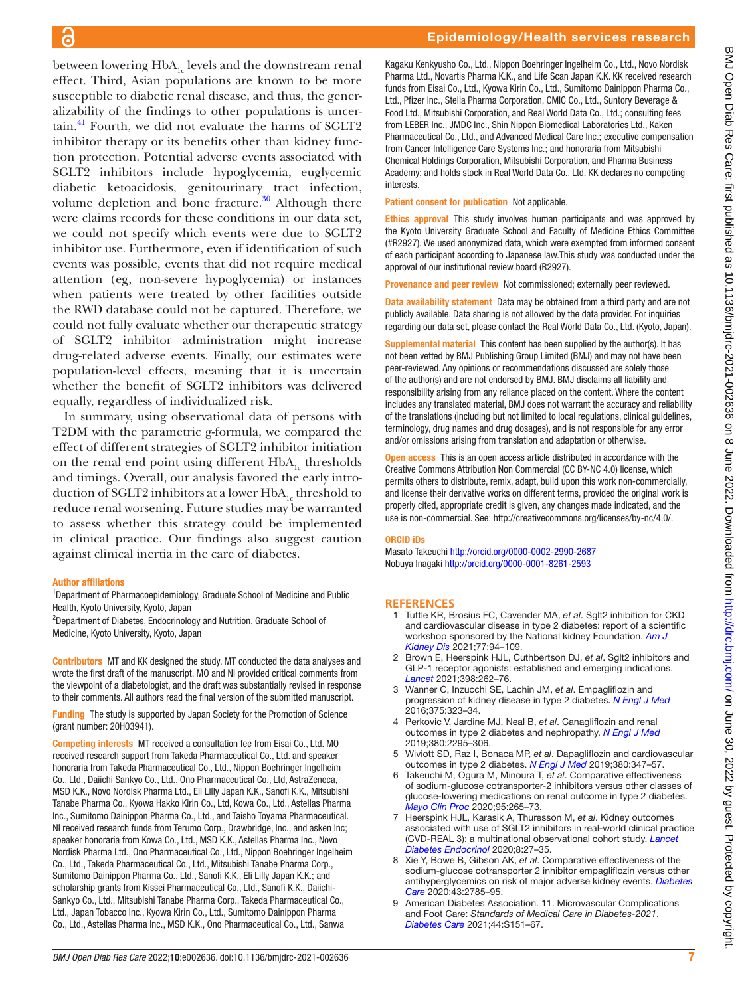between lowering  $HbA_{1c}$  levels and the downstream renal effect. Third, Asian populations are known to be more susceptible to diabetic renal disease, and thus, the generalizability of the findings to other populations is uncer- $\text{tain.}^{41}$  Fourth, we did not evaluate the harms of SGLT2 inhibitor therapy or its benefits other than kidney function protection. Potential adverse events associated with SGLT2 inhibitors include hypoglycemia, euglycemic diabetic ketoacidosis, genitourinary tract infection, volume depletion and bone fracture. $30$  Although there were claims records for these conditions in our data set, we could not specify which events were due to SGLT2 inhibitor use. Furthermore, even if identification of such events was possible, events that did not require medical attention (eg, non-severe hypoglycemia) or instances when patients were treated by other facilities outside the RWD database could not be captured. Therefore, we could not fully evaluate whether our therapeutic strategy of SGLT2 inhibitor administration might increase drug-related adverse events. Finally, our estimates were population-level effects, meaning that it is uncertain whether the benefit of SGLT2 inhibitors was delivered equally, regardless of individualized risk.

In summary, using observational data of persons with T2DM with the parametric g-formula, we compared the effect of different strategies of SGLT2 inhibitor initiation on the renal end point using different  $HbA<sub>1c</sub>$  thresholds and timings. Overall, our analysis favored the early introduction of SGLT2 inhibitors at a lower  $HbA<sub>1c</sub>$  threshold to reduce renal worsening. Future studies may be warranted to assess whether this strategy could be implemented in clinical practice. Our findings also suggest caution against clinical inertia in the care of diabetes.

#### Author affiliations

<sup>1</sup>Department of Pharmacoepidemiology, Graduate School of Medicine and Public Health, Kyoto University, Kyoto, Japan

<sup>2</sup>Department of Diabetes, Endocrinology and Nutrition, Graduate School of Medicine, Kyoto University, Kyoto, Japan

Contributors MT and KK designed the study. MT conducted the data analyses and wrote the first draft of the manuscript. MO and NI provided critical comments from the viewpoint of a diabetologist, and the draft was substantially revised in response to their comments. All authors read the final version of the submitted manuscript.

Funding The study is supported by Japan Society for the Promotion of Science (grant number: 20H03941).

Competing interests MT received a consultation fee from Eisai Co., Ltd. MO received research support from Takeda Pharmaceutical Co., Ltd. and speaker honoraria from Takeda Pharmaceutical Co., Ltd., Nippon Boehringer Ingelheim Co., Ltd., Daiichi Sankyo Co., Ltd., Ono Pharmaceutical Co., Ltd, AstraZeneca, MSD K.K., Novo Nordisk Pharma Ltd., Eli Lilly Japan K.K., Sanofi K.K., Mitsubishi Tanabe Pharma Co., Kyowa Hakko Kirin Co., Ltd, Kowa Co., Ltd., Astellas Pharma Inc., Sumitomo Dainippon Pharma Co., Ltd., and Taisho Toyama Pharmaceutical. NI received research funds from Terumo Corp., Drawbridge, Inc., and asken Inc; speaker honoraria from Kowa Co., Ltd., MSD K.K., Astellas Pharma Inc., Novo Nordisk Pharma Ltd., Ono Pharmaceutical Co., Ltd., Nippon Boehringer Ingelheim Co., Ltd., Takeda Pharmaceutical Co., Ltd., Mitsubishi Tanabe Pharma Corp., Sumitomo Dainippon Pharma Co., Ltd., Sanofi K.K., Eli Lilly Japan K.K.; and scholarship grants from Kissei Pharmaceutical Co., Ltd., Sanofi K.K., Daiichi-Sankyo Co., Ltd., Mitsubishi Tanabe Pharma Corp., Takeda Pharmaceutical Co., Ltd., Japan Tobacco Inc., Kyowa Kirin Co., Ltd., Sumitomo Dainippon Pharma Co., Ltd., Astellas Pharma Inc., MSD K.K., Ono Pharmaceutical Co., Ltd., Sanwa

Kagaku Kenkyusho Co., Ltd., Nippon Boehringer Ingelheim Co., Ltd., Novo Nordisk Pharma Ltd., Novartis Pharma K.K., and Life Scan Japan K.K. KK received research funds from Eisai Co., Ltd., Kyowa Kirin Co., Ltd., Sumitomo Dainippon Pharma Co., Ltd., Pfizer Inc., Stella Pharma Corporation, CMIC Co., Ltd., Suntory Beverage & Food Ltd., Mitsubishi Corporation, and Real World Data Co., Ltd.; consulting fees from LEBER Inc., JMDC Inc., Shin Nippon Biomedical Laboratories Ltd., Kaken Pharmaceutical Co., Ltd., and Advanced Medical Care Inc.; executive compensation from Cancer Intelligence Care Systems Inc.; and honoraria from Mitsubishi Chemical Holdings Corporation, Mitsubishi Corporation, and Pharma Business Academy; and holds stock in Real World Data Co., Ltd. KK declares no competing interests.

Patient consent for publication Not applicable.

Ethics approval This study involves human participants and was approved by the Kyoto University Graduate School and Faculty of Medicine Ethics Committee (#R2927). We used anonymized data, which were exempted from informed consent of each participant according to Japanese law.This study was conducted under the approval of our institutional review board (R2927).

Provenance and peer review Not commissioned; externally peer reviewed.

Data availability statement Data may be obtained from a third party and are not publicly available. Data sharing is not allowed by the data provider. For inquiries regarding our data set, please contact the Real World Data Co., Ltd. (Kyoto, Japan).

Supplemental material This content has been supplied by the author(s). It has not been vetted by BMJ Publishing Group Limited (BMJ) and may not have been peer-reviewed. Any opinions or recommendations discussed are solely those of the author(s) and are not endorsed by BMJ. BMJ disclaims all liability and responsibility arising from any reliance placed on the content. Where the content includes any translated material, BMJ does not warrant the accuracy and reliability of the translations (including but not limited to local regulations, clinical guidelines, terminology, drug names and drug dosages), and is not responsible for any error and/or omissions arising from translation and adaptation or otherwise.

Open access This is an open access article distributed in accordance with the Creative Commons Attribution Non Commercial (CC BY-NC 4.0) license, which permits others to distribute, remix, adapt, build upon this work non-commercially, and license their derivative works on different terms, provided the original work is properly cited, appropriate credit is given, any changes made indicated, and the use is non-commercial. See:<http://creativecommons.org/licenses/by-nc/4.0/>.

#### ORCID iDs

Masato Takeuchi <http://orcid.org/0000-0002-2990-2687> Nobuya Inagaki<http://orcid.org/0000-0001-8261-2593>

#### **REFERENCES**

- <span id="page-6-0"></span>1 Tuttle KR, Brosius FC, Cavender MA, *et al*. Sglt2 inhibition for CKD and cardiovascular disease in type 2 diabetes: report of a scientific workshop sponsored by the National kidney Foundation. *[Am J](http://dx.doi.org/10.1053/j.ajkd.2020.08.003)  [Kidney Dis](http://dx.doi.org/10.1053/j.ajkd.2020.08.003)* 2021;77:94–109.
- <span id="page-6-1"></span>2 Brown E, Heerspink HJL, Cuthbertson DJ, *et al*. Sglt2 inhibitors and GLP-1 receptor agonists: established and emerging indications. *[Lancet](http://dx.doi.org/10.1016/S0140-6736(21)00536-5)* 2021;398:262–76.
- <span id="page-6-2"></span>3 Wanner C, Inzucchi SE, Lachin JM, *et al*. Empagliflozin and progression of kidney disease in type 2 diabetes. *[N Engl J Med](http://dx.doi.org/10.1056/NEJMoa1515920)* 2016;375:323–34.
- 4 Perkovic V, Jardine MJ, Neal B, *et al*. Canagliflozin and renal outcomes in type 2 diabetes and nephropathy. *[N Engl J Med](http://dx.doi.org/10.1056/NEJMoa1811744)* 2019;380:2295–306.
- 5 Wiviott SD, Raz I, Bonaca MP, *et al*. Dapagliflozin and cardiovascular outcomes in type 2 diabetes. *[N Engl J Med](http://dx.doi.org/10.1056/NEJMoa1812389)* 2019;380:347–57.
- <span id="page-6-5"></span>Takeuchi M, Ogura M, Minoura T, et al. Comparative effectiveness of sodium-glucose cotransporter-2 inhibitors versus other classes of glucose-lowering medications on renal outcome in type 2 diabetes. *[Mayo Clin Proc](http://dx.doi.org/10.1016/j.mayocp.2019.12.004)* 2020;95:265–73.
- <span id="page-6-4"></span>7 Heerspink HJL, Karasik A, Thuresson M, *et al*. Kidney outcomes associated with use of SGLT2 inhibitors in real-world clinical practice (CVD-REAL 3): a multinational observational cohort study. *[Lancet](http://dx.doi.org/10.1016/S2213-8587(19)30384-5)  [Diabetes Endocrinol](http://dx.doi.org/10.1016/S2213-8587(19)30384-5)* 2020;8:27–35.
- 8 Xie Y, Bowe B, Gibson AK, *et al*. Comparative effectiveness of the sodium-glucose cotransporter 2 inhibitor empagliflozin versus other antihyperglycemics on risk of major adverse kidney events. *[Diabetes](http://dx.doi.org/10.2337/dc20-1231)  [Care](http://dx.doi.org/10.2337/dc20-1231)* 2020;43:2785–95.
- <span id="page-6-3"></span>9 American Diabetes Association. 11. Microvascular Complications and Foot Care: *Standards of Medical Care in Diabetes-2021*. *[Diabetes Care](http://dx.doi.org/10.2337/dc21-S011)* 2021;44:S151–67.